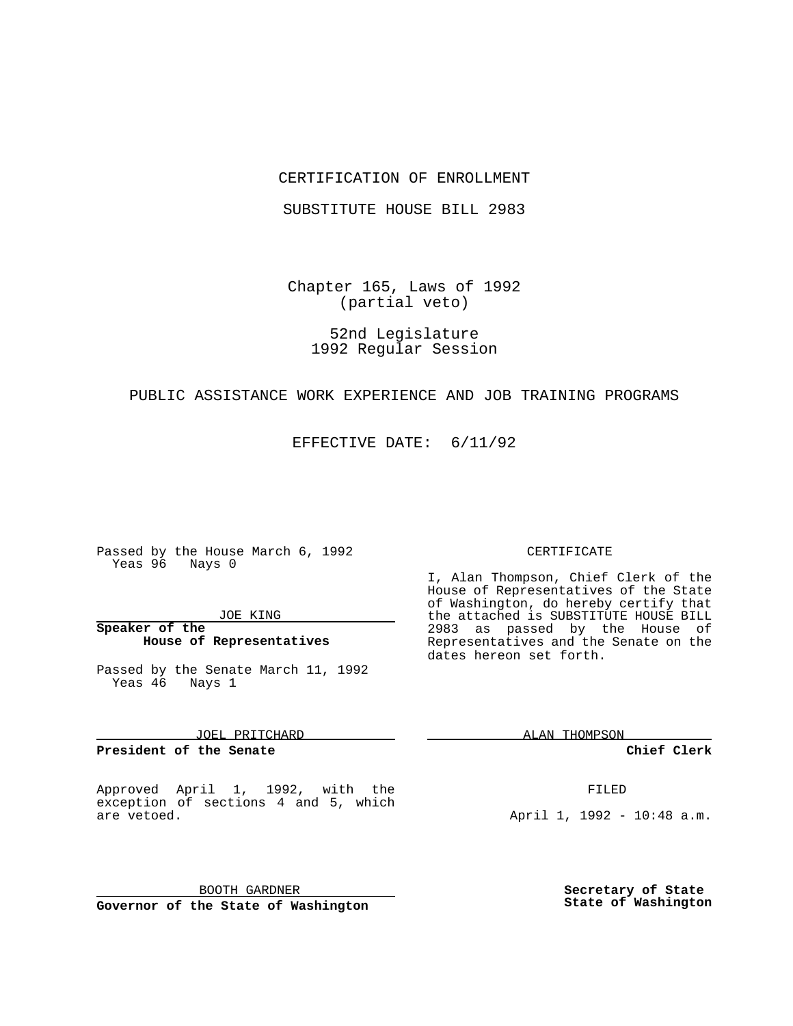#### CERTIFICATION OF ENROLLMENT

SUBSTITUTE HOUSE BILL 2983

Chapter 165, Laws of 1992 (partial veto)

52nd Legislature 1992 Regular Session

## PUBLIC ASSISTANCE WORK EXPERIENCE AND JOB TRAINING PROGRAMS

EFFECTIVE DATE: 6/11/92

Passed by the House March 6, 1992 Yeas 96 Nays 0

#### JOE KING

## **Speaker of the House of Representatives**

Passed by the Senate March 11, 1992 Yeas 46 Nays 1

JOEL PRITCHARD

**President of the Senate**

Approved April 1, 1992, with the exception of sections 4 and 5, which are vetoed.

BOOTH GARDNER **Governor of the State of Washington**

#### CERTIFICATE

I, Alan Thompson, Chief Clerk of the House of Representatives of the State of Washington, do hereby certify that the attached is SUBSTITUTE HOUSE BILL 2983 as passed by the House of Representatives and the Senate on the dates hereon set forth.

ALAN THOMPSON

**Chief Clerk**

FILED

April 1, 1992 - 10:48 a.m.

**Secretary of State State of Washington**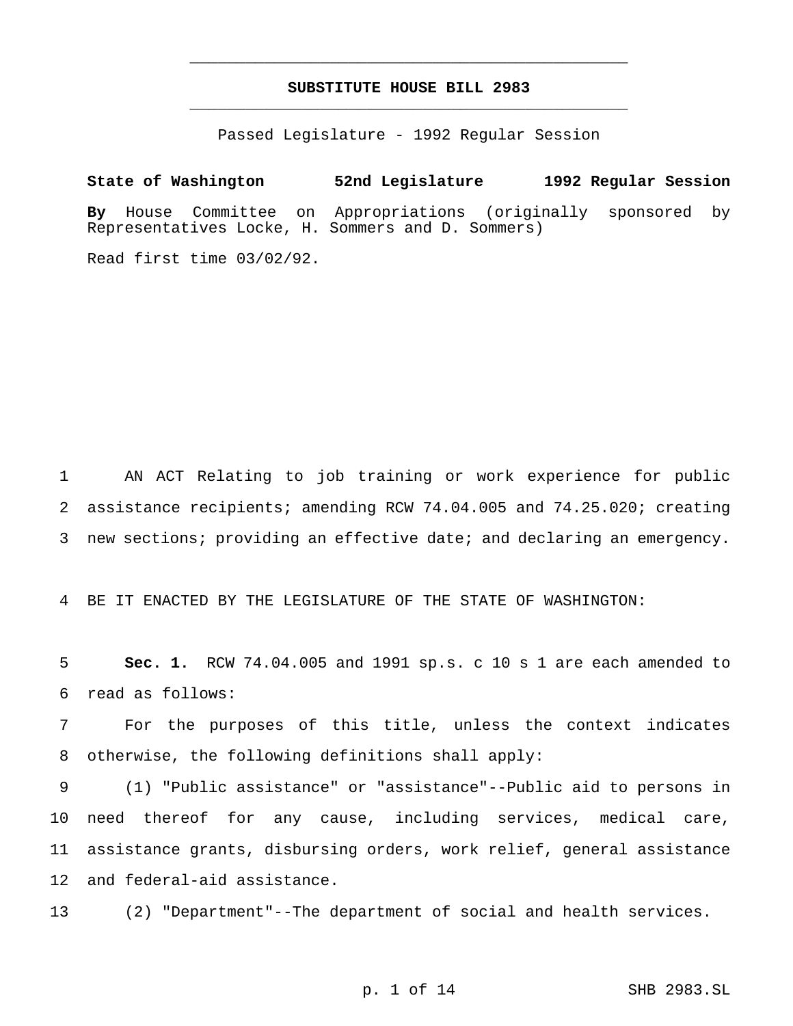# **SUBSTITUTE HOUSE BILL 2983** \_\_\_\_\_\_\_\_\_\_\_\_\_\_\_\_\_\_\_\_\_\_\_\_\_\_\_\_\_\_\_\_\_\_\_\_\_\_\_\_\_\_\_\_\_\_\_

\_\_\_\_\_\_\_\_\_\_\_\_\_\_\_\_\_\_\_\_\_\_\_\_\_\_\_\_\_\_\_\_\_\_\_\_\_\_\_\_\_\_\_\_\_\_\_

Passed Legislature - 1992 Regular Session

**State of Washington 52nd Legislature 1992 Regular Session By** House Committee on Appropriations (originally sponsored by Representatives Locke, H. Sommers and D. Sommers)

Read first time 03/02/92.

1 AN ACT Relating to job training or work experience for public 2 assistance recipients; amending RCW 74.04.005 and 74.25.020; creating 3 new sections; providing an effective date; and declaring an emergency.

4 BE IT ENACTED BY THE LEGISLATURE OF THE STATE OF WASHINGTON:

5 **Sec. 1.** RCW 74.04.005 and 1991 sp.s. c 10 s 1 are each amended to 6 read as follows:

7 For the purposes of this title, unless the context indicates 8 otherwise, the following definitions shall apply:

 (1) "Public assistance" or "assistance"--Public aid to persons in need thereof for any cause, including services, medical care, assistance grants, disbursing orders, work relief, general assistance and federal-aid assistance.

13 (2) "Department"--The department of social and health services.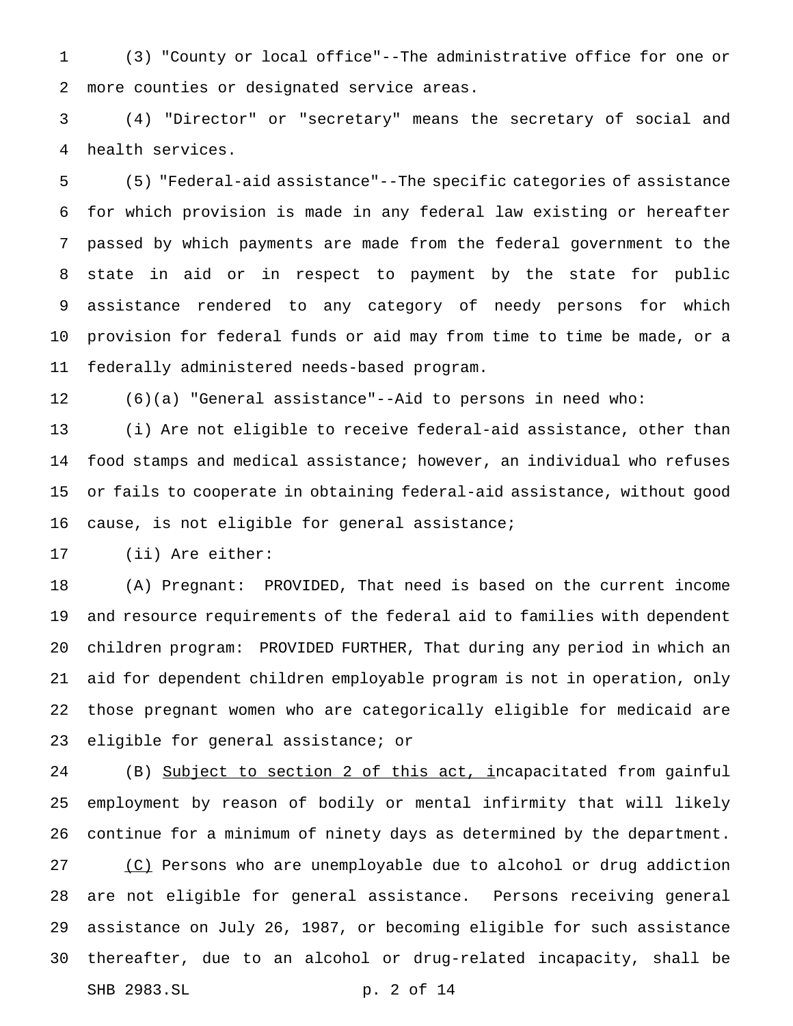(3) "County or local office"--The administrative office for one or more counties or designated service areas.

 (4) "Director" or "secretary" means the secretary of social and health services.

 (5) "Federal-aid assistance"--The specific categories of assistance for which provision is made in any federal law existing or hereafter passed by which payments are made from the federal government to the state in aid or in respect to payment by the state for public assistance rendered to any category of needy persons for which provision for federal funds or aid may from time to time be made, or a federally administered needs-based program.

(6)(a) "General assistance"--Aid to persons in need who:

 (i) Are not eligible to receive federal-aid assistance, other than food stamps and medical assistance; however, an individual who refuses or fails to cooperate in obtaining federal-aid assistance, without good cause, is not eligible for general assistance;

(ii) Are either:

 (A) Pregnant: PROVIDED, That need is based on the current income and resource requirements of the federal aid to families with dependent children program: PROVIDED FURTHER, That during any period in which an aid for dependent children employable program is not in operation, only those pregnant women who are categorically eligible for medicaid are eligible for general assistance; or

24 (B) Subject to section 2 of this act, incapacitated from gainful employment by reason of bodily or mental infirmity that will likely continue for a minimum of ninety days as determined by the department.

27 (C) Persons who are unemployable due to alcohol or drug addiction are not eligible for general assistance. Persons receiving general assistance on July 26, 1987, or becoming eligible for such assistance thereafter, due to an alcohol or drug-related incapacity, shall be SHB 2983.SL p. 2 of 14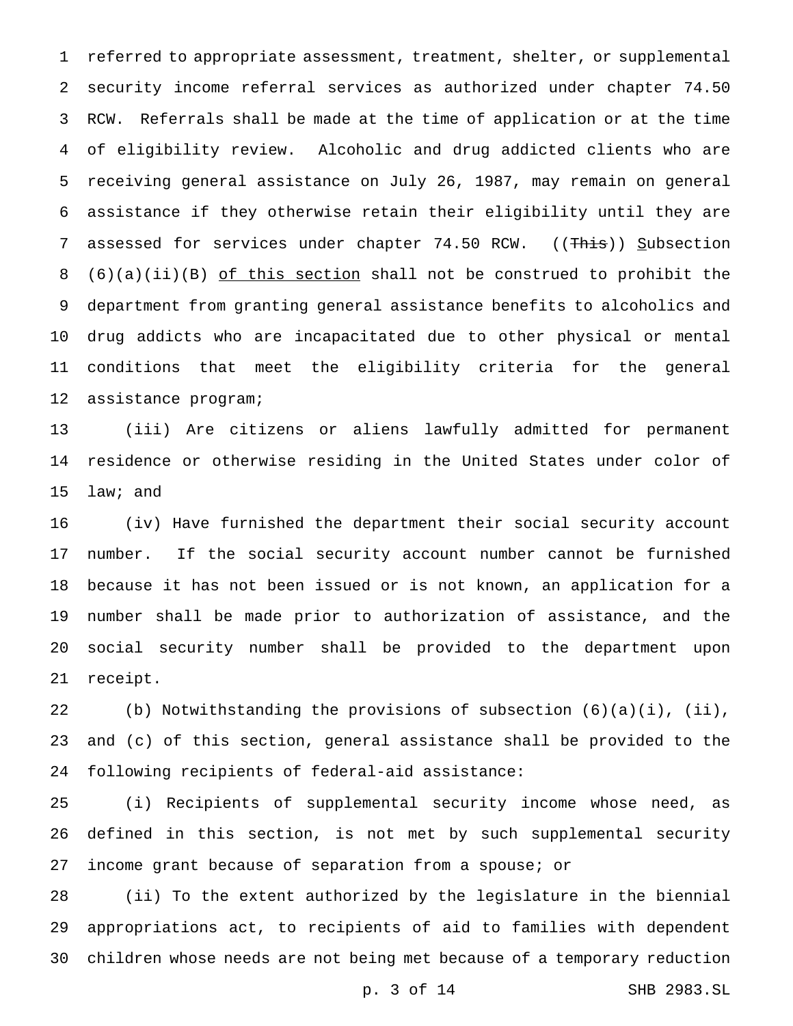referred to appropriate assessment, treatment, shelter, or supplemental security income referral services as authorized under chapter 74.50 RCW. Referrals shall be made at the time of application or at the time of eligibility review. Alcoholic and drug addicted clients who are receiving general assistance on July 26, 1987, may remain on general assistance if they otherwise retain their eligibility until they are 7 assessed for services under chapter 74.50 RCW. ((This)) Subsection (6)(a)(ii)(B) of this section shall not be construed to prohibit the department from granting general assistance benefits to alcoholics and drug addicts who are incapacitated due to other physical or mental conditions that meet the eligibility criteria for the general assistance program;

 (iii) Are citizens or aliens lawfully admitted for permanent residence or otherwise residing in the United States under color of law; and

 (iv) Have furnished the department their social security account number. If the social security account number cannot be furnished because it has not been issued or is not known, an application for a number shall be made prior to authorization of assistance, and the social security number shall be provided to the department upon receipt.

 (b) Notwithstanding the provisions of subsection (6)(a)(i), (ii), and (c) of this section, general assistance shall be provided to the following recipients of federal-aid assistance:

 (i) Recipients of supplemental security income whose need, as defined in this section, is not met by such supplemental security income grant because of separation from a spouse; or

 (ii) To the extent authorized by the legislature in the biennial appropriations act, to recipients of aid to families with dependent children whose needs are not being met because of a temporary reduction

p. 3 of 14 SHB 2983.SL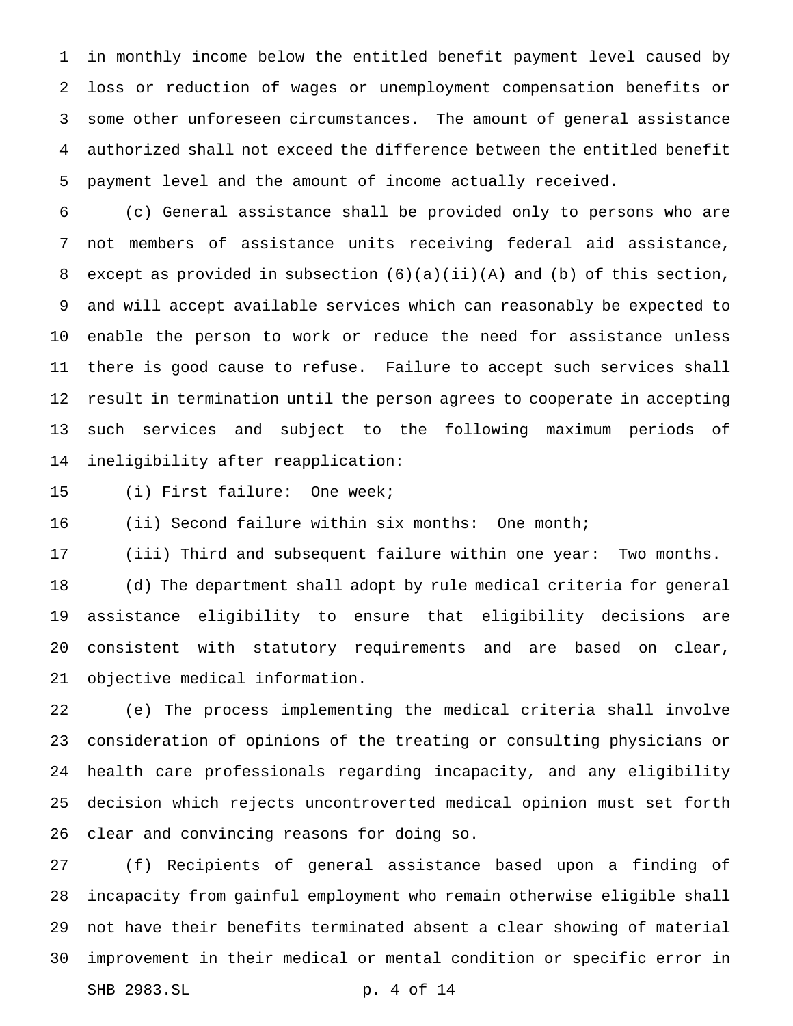in monthly income below the entitled benefit payment level caused by loss or reduction of wages or unemployment compensation benefits or some other unforeseen circumstances. The amount of general assistance authorized shall not exceed the difference between the entitled benefit payment level and the amount of income actually received.

 (c) General assistance shall be provided only to persons who are not members of assistance units receiving federal aid assistance, except as provided in subsection (6)(a)(ii)(A) and (b) of this section, and will accept available services which can reasonably be expected to enable the person to work or reduce the need for assistance unless there is good cause to refuse. Failure to accept such services shall result in termination until the person agrees to cooperate in accepting such services and subject to the following maximum periods of ineligibility after reapplication:

(i) First failure: One week;

16 (ii) Second failure within six months: One month;

(iii) Third and subsequent failure within one year: Two months.

 (d) The department shall adopt by rule medical criteria for general assistance eligibility to ensure that eligibility decisions are consistent with statutory requirements and are based on clear, objective medical information.

 (e) The process implementing the medical criteria shall involve consideration of opinions of the treating or consulting physicians or health care professionals regarding incapacity, and any eligibility decision which rejects uncontroverted medical opinion must set forth clear and convincing reasons for doing so.

 (f) Recipients of general assistance based upon a finding of incapacity from gainful employment who remain otherwise eligible shall not have their benefits terminated absent a clear showing of material improvement in their medical or mental condition or specific error in SHB 2983.SL p. 4 of 14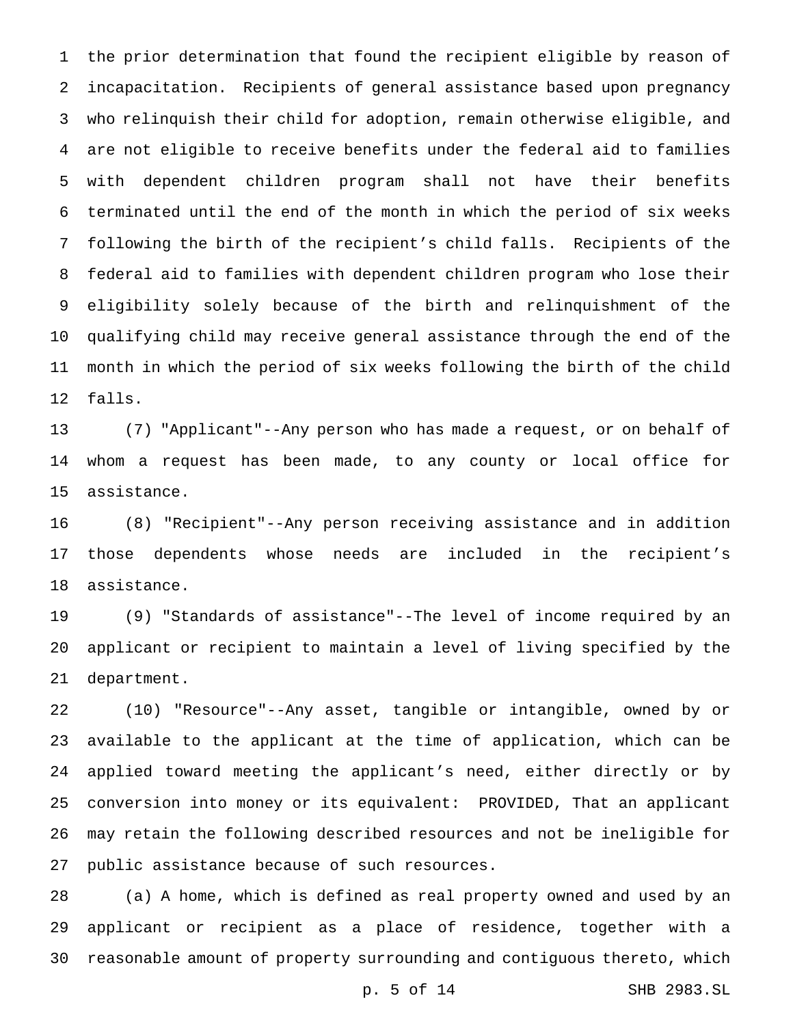the prior determination that found the recipient eligible by reason of incapacitation. Recipients of general assistance based upon pregnancy who relinquish their child for adoption, remain otherwise eligible, and are not eligible to receive benefits under the federal aid to families with dependent children program shall not have their benefits terminated until the end of the month in which the period of six weeks following the birth of the recipient's child falls. Recipients of the federal aid to families with dependent children program who lose their eligibility solely because of the birth and relinquishment of the qualifying child may receive general assistance through the end of the month in which the period of six weeks following the birth of the child falls.

 (7) "Applicant"--Any person who has made a request, or on behalf of whom a request has been made, to any county or local office for assistance.

 (8) "Recipient"--Any person receiving assistance and in addition those dependents whose needs are included in the recipient's assistance.

 (9) "Standards of assistance"--The level of income required by an applicant or recipient to maintain a level of living specified by the department.

 (10) "Resource"--Any asset, tangible or intangible, owned by or available to the applicant at the time of application, which can be applied toward meeting the applicant's need, either directly or by conversion into money or its equivalent: PROVIDED, That an applicant may retain the following described resources and not be ineligible for public assistance because of such resources.

 (a) A home, which is defined as real property owned and used by an applicant or recipient as a place of residence, together with a reasonable amount of property surrounding and contiguous thereto, which

p. 5 of 14 SHB 2983.SL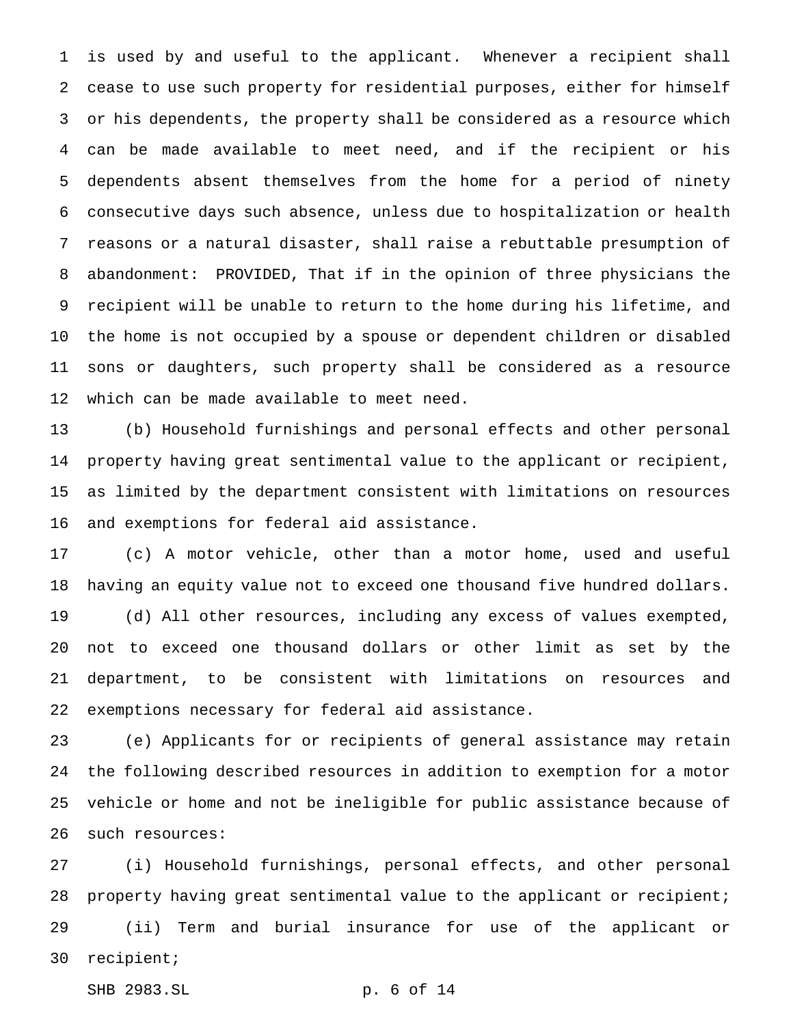is used by and useful to the applicant. Whenever a recipient shall cease to use such property for residential purposes, either for himself or his dependents, the property shall be considered as a resource which can be made available to meet need, and if the recipient or his dependents absent themselves from the home for a period of ninety consecutive days such absence, unless due to hospitalization or health reasons or a natural disaster, shall raise a rebuttable presumption of abandonment: PROVIDED, That if in the opinion of three physicians the recipient will be unable to return to the home during his lifetime, and the home is not occupied by a spouse or dependent children or disabled sons or daughters, such property shall be considered as a resource which can be made available to meet need.

 (b) Household furnishings and personal effects and other personal property having great sentimental value to the applicant or recipient, as limited by the department consistent with limitations on resources and exemptions for federal aid assistance.

 (c) A motor vehicle, other than a motor home, used and useful having an equity value not to exceed one thousand five hundred dollars. (d) All other resources, including any excess of values exempted, not to exceed one thousand dollars or other limit as set by the department, to be consistent with limitations on resources and exemptions necessary for federal aid assistance.

 (e) Applicants for or recipients of general assistance may retain the following described resources in addition to exemption for a motor vehicle or home and not be ineligible for public assistance because of such resources:

 (i) Household furnishings, personal effects, and other personal 28 property having great sentimental value to the applicant or recipient; (ii) Term and burial insurance for use of the applicant or recipient;

SHB 2983.SL p. 6 of 14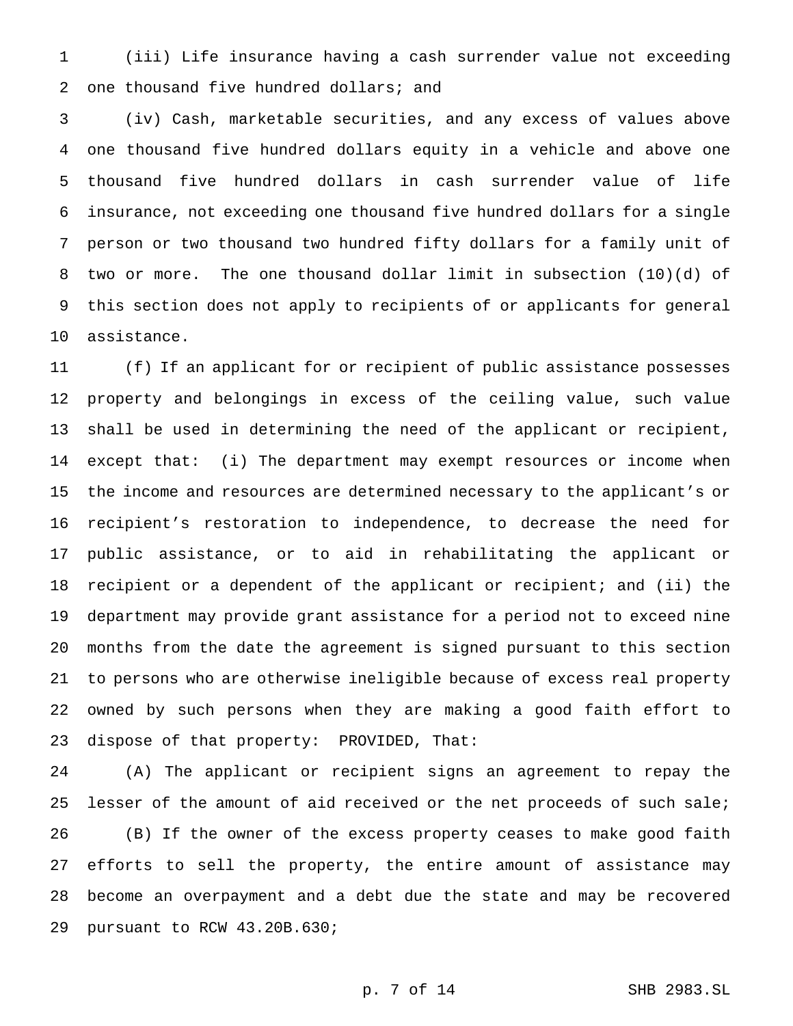(iii) Life insurance having a cash surrender value not exceeding 2 one thousand five hundred dollars; and

 (iv) Cash, marketable securities, and any excess of values above one thousand five hundred dollars equity in a vehicle and above one thousand five hundred dollars in cash surrender value of life insurance, not exceeding one thousand five hundred dollars for a single person or two thousand two hundred fifty dollars for a family unit of two or more. The one thousand dollar limit in subsection (10)(d) of this section does not apply to recipients of or applicants for general assistance.

 (f) If an applicant for or recipient of public assistance possesses property and belongings in excess of the ceiling value, such value shall be used in determining the need of the applicant or recipient, except that: (i) The department may exempt resources or income when the income and resources are determined necessary to the applicant's or recipient's restoration to independence, to decrease the need for public assistance, or to aid in rehabilitating the applicant or recipient or a dependent of the applicant or recipient; and (ii) the department may provide grant assistance for a period not to exceed nine months from the date the agreement is signed pursuant to this section to persons who are otherwise ineligible because of excess real property owned by such persons when they are making a good faith effort to dispose of that property: PROVIDED, That:

 (A) The applicant or recipient signs an agreement to repay the lesser of the amount of aid received or the net proceeds of such sale; (B) If the owner of the excess property ceases to make good faith efforts to sell the property, the entire amount of assistance may become an overpayment and a debt due the state and may be recovered pursuant to RCW 43.20B.630;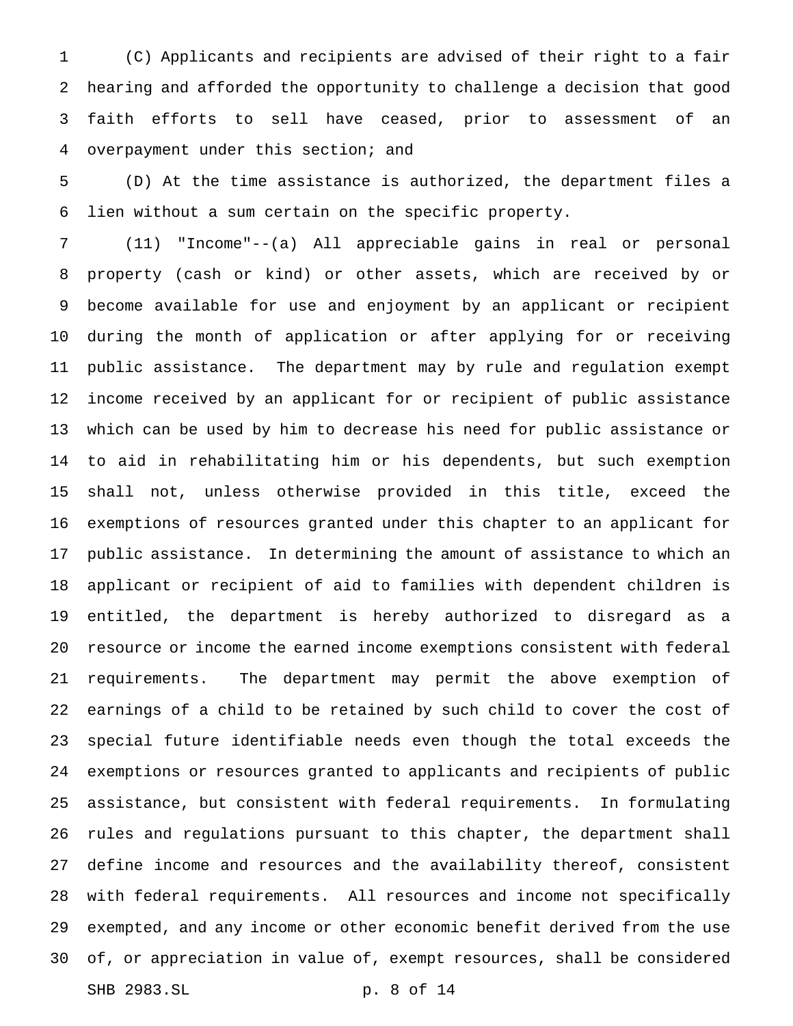(C) Applicants and recipients are advised of their right to a fair hearing and afforded the opportunity to challenge a decision that good faith efforts to sell have ceased, prior to assessment of an overpayment under this section; and

 (D) At the time assistance is authorized, the department files a lien without a sum certain on the specific property.

 (11) "Income"--(a) All appreciable gains in real or personal property (cash or kind) or other assets, which are received by or become available for use and enjoyment by an applicant or recipient during the month of application or after applying for or receiving public assistance. The department may by rule and regulation exempt income received by an applicant for or recipient of public assistance which can be used by him to decrease his need for public assistance or to aid in rehabilitating him or his dependents, but such exemption shall not, unless otherwise provided in this title, exceed the exemptions of resources granted under this chapter to an applicant for public assistance. In determining the amount of assistance to which an applicant or recipient of aid to families with dependent children is entitled, the department is hereby authorized to disregard as a resource or income the earned income exemptions consistent with federal requirements. The department may permit the above exemption of earnings of a child to be retained by such child to cover the cost of special future identifiable needs even though the total exceeds the exemptions or resources granted to applicants and recipients of public assistance, but consistent with federal requirements. In formulating rules and regulations pursuant to this chapter, the department shall define income and resources and the availability thereof, consistent with federal requirements. All resources and income not specifically exempted, and any income or other economic benefit derived from the use of, or appreciation in value of, exempt resources, shall be considered SHB 2983.SL p. 8 of 14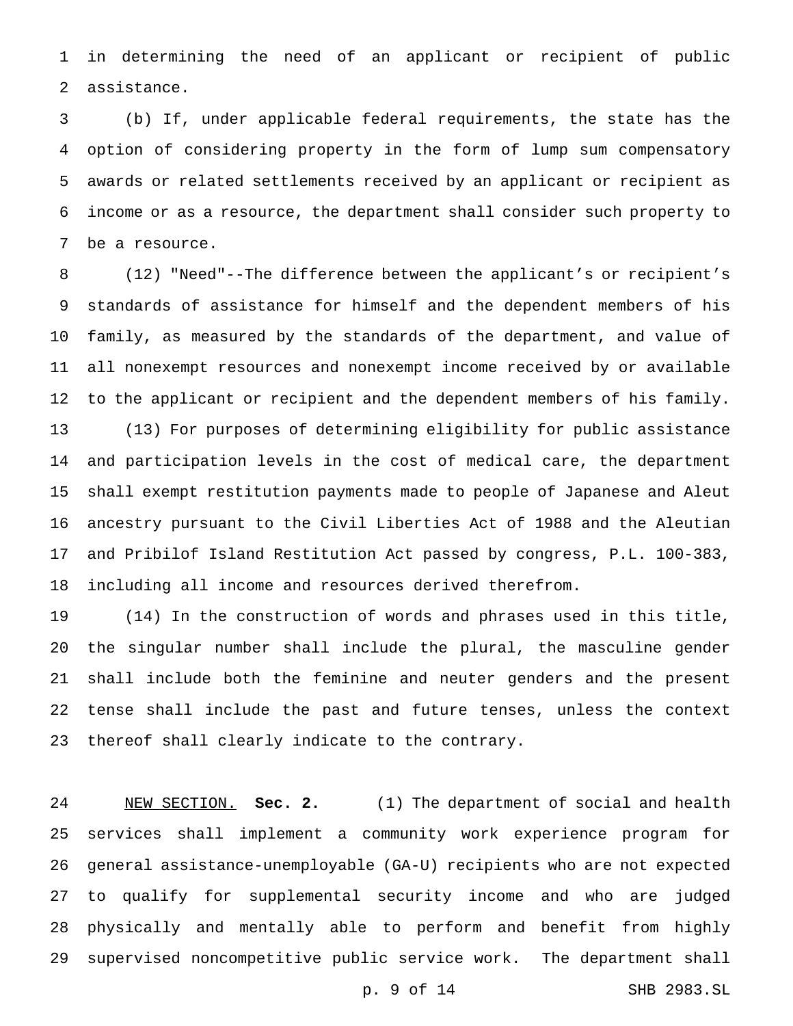in determining the need of an applicant or recipient of public assistance.

 (b) If, under applicable federal requirements, the state has the option of considering property in the form of lump sum compensatory awards or related settlements received by an applicant or recipient as income or as a resource, the department shall consider such property to be a resource.

 (12) "Need"--The difference between the applicant's or recipient's standards of assistance for himself and the dependent members of his family, as measured by the standards of the department, and value of all nonexempt resources and nonexempt income received by or available to the applicant or recipient and the dependent members of his family. (13) For purposes of determining eligibility for public assistance and participation levels in the cost of medical care, the department shall exempt restitution payments made to people of Japanese and Aleut ancestry pursuant to the Civil Liberties Act of 1988 and the Aleutian and Pribilof Island Restitution Act passed by congress, P.L. 100-383, including all income and resources derived therefrom.

 (14) In the construction of words and phrases used in this title, the singular number shall include the plural, the masculine gender shall include both the feminine and neuter genders and the present tense shall include the past and future tenses, unless the context thereof shall clearly indicate to the contrary.

 NEW SECTION. **Sec. 2.** (1) The department of social and health services shall implement a community work experience program for general assistance-unemployable (GA-U) recipients who are not expected to qualify for supplemental security income and who are judged physically and mentally able to perform and benefit from highly supervised noncompetitive public service work. The department shall

p. 9 of 14 SHB 2983.SL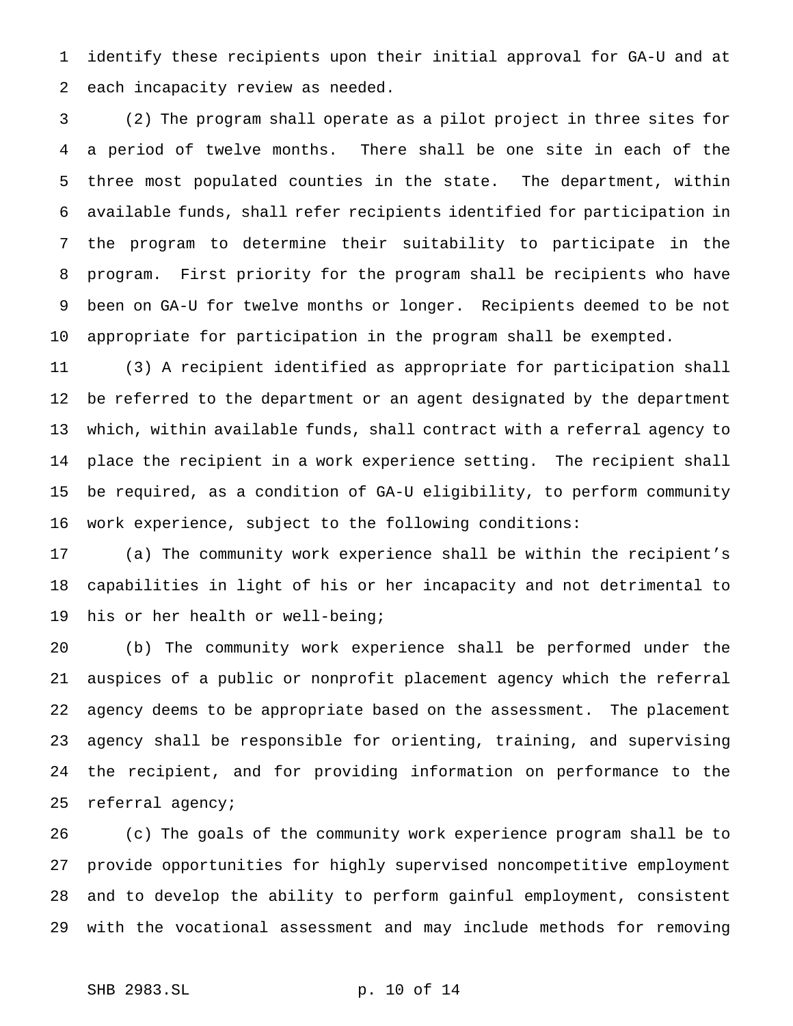identify these recipients upon their initial approval for GA-U and at each incapacity review as needed.

 (2) The program shall operate as a pilot project in three sites for a period of twelve months. There shall be one site in each of the three most populated counties in the state. The department, within available funds, shall refer recipients identified for participation in the program to determine their suitability to participate in the program. First priority for the program shall be recipients who have been on GA-U for twelve months or longer. Recipients deemed to be not appropriate for participation in the program shall be exempted.

 (3) A recipient identified as appropriate for participation shall be referred to the department or an agent designated by the department which, within available funds, shall contract with a referral agency to place the recipient in a work experience setting. The recipient shall be required, as a condition of GA-U eligibility, to perform community work experience, subject to the following conditions:

 (a) The community work experience shall be within the recipient's capabilities in light of his or her incapacity and not detrimental to his or her health or well-being;

 (b) The community work experience shall be performed under the auspices of a public or nonprofit placement agency which the referral agency deems to be appropriate based on the assessment. The placement agency shall be responsible for orienting, training, and supervising the recipient, and for providing information on performance to the referral agency;

 (c) The goals of the community work experience program shall be to provide opportunities for highly supervised noncompetitive employment and to develop the ability to perform gainful employment, consistent with the vocational assessment and may include methods for removing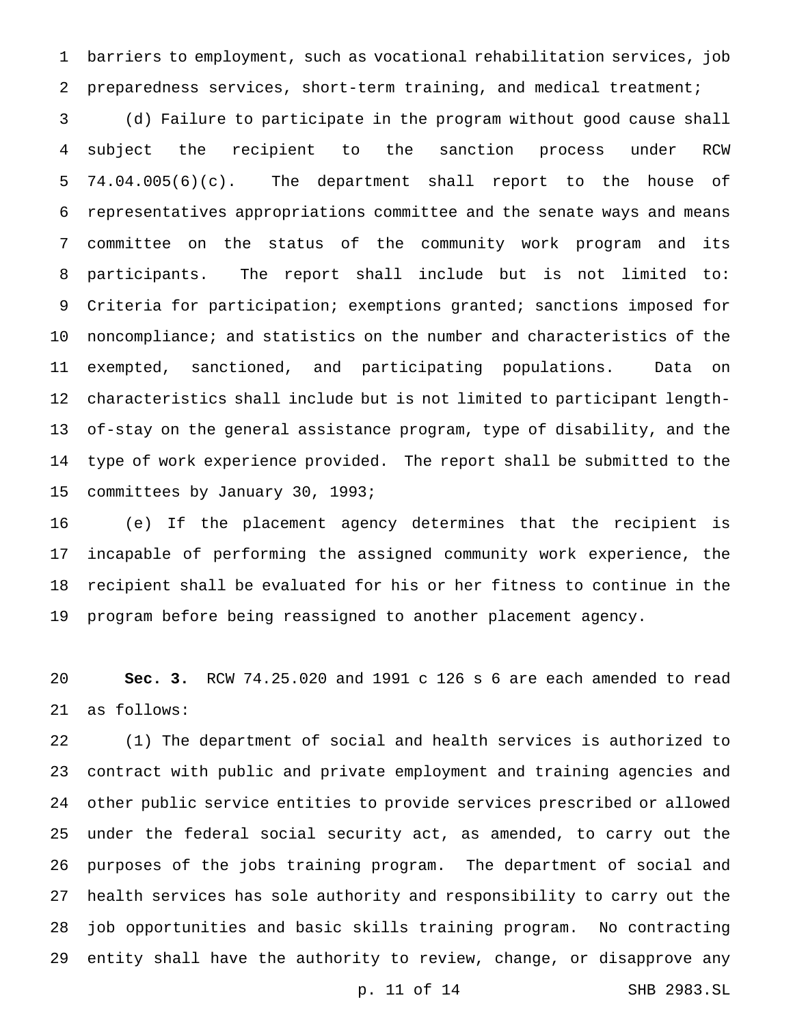barriers to employment, such as vocational rehabilitation services, job preparedness services, short-term training, and medical treatment;

 (d) Failure to participate in the program without good cause shall subject the recipient to the sanction process under RCW 74.04.005(6)(c). The department shall report to the house of representatives appropriations committee and the senate ways and means committee on the status of the community work program and its participants. The report shall include but is not limited to: Criteria for participation; exemptions granted; sanctions imposed for noncompliance; and statistics on the number and characteristics of the exempted, sanctioned, and participating populations. Data on characteristics shall include but is not limited to participant length- of-stay on the general assistance program, type of disability, and the type of work experience provided. The report shall be submitted to the committees by January 30, 1993;

 (e) If the placement agency determines that the recipient is incapable of performing the assigned community work experience, the recipient shall be evaluated for his or her fitness to continue in the program before being reassigned to another placement agency.

 **Sec. 3.** RCW 74.25.020 and 1991 c 126 s 6 are each amended to read as follows:

 (1) The department of social and health services is authorized to contract with public and private employment and training agencies and other public service entities to provide services prescribed or allowed under the federal social security act, as amended, to carry out the purposes of the jobs training program. The department of social and health services has sole authority and responsibility to carry out the job opportunities and basic skills training program. No contracting entity shall have the authority to review, change, or disapprove any

p. 11 of 14 SHB 2983.SL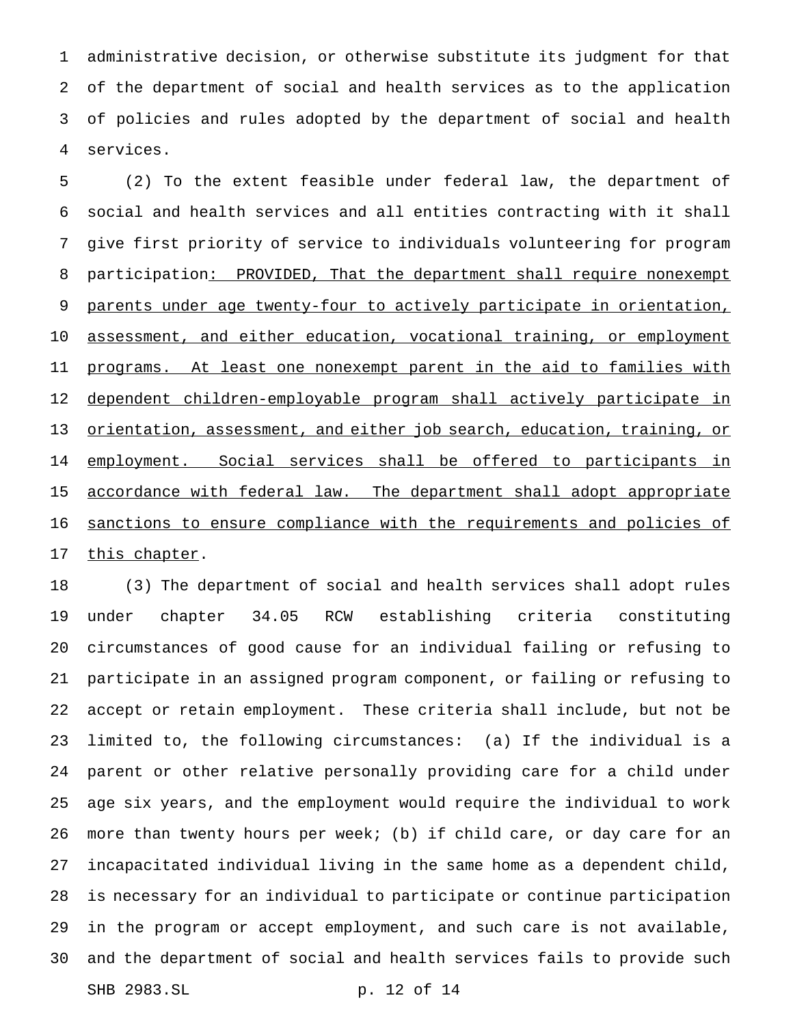administrative decision, or otherwise substitute its judgment for that of the department of social and health services as to the application of policies and rules adopted by the department of social and health services.

 (2) To the extent feasible under federal law, the department of social and health services and all entities contracting with it shall give first priority of service to individuals volunteering for program 8 participation: PROVIDED, That the department shall require nonexempt parents under age twenty-four to actively participate in orientation, 10 assessment, and either education, vocational training, or employment 11 programs. At least one nonexempt parent in the aid to families with dependent children-employable program shall actively participate in 13 orientation, assessment, and either job search, education, training, or 14 employment. Social services shall be offered to participants in 15 accordance with federal law. The department shall adopt appropriate 16 sanctions to ensure compliance with the requirements and policies of 17 this chapter.

 (3) The department of social and health services shall adopt rules under chapter 34.05 RCW establishing criteria constituting circumstances of good cause for an individual failing or refusing to participate in an assigned program component, or failing or refusing to accept or retain employment. These criteria shall include, but not be limited to, the following circumstances: (a) If the individual is a parent or other relative personally providing care for a child under age six years, and the employment would require the individual to work more than twenty hours per week; (b) if child care, or day care for an incapacitated individual living in the same home as a dependent child, is necessary for an individual to participate or continue participation in the program or accept employment, and such care is not available, and the department of social and health services fails to provide such SHB 2983.SL p. 12 of 14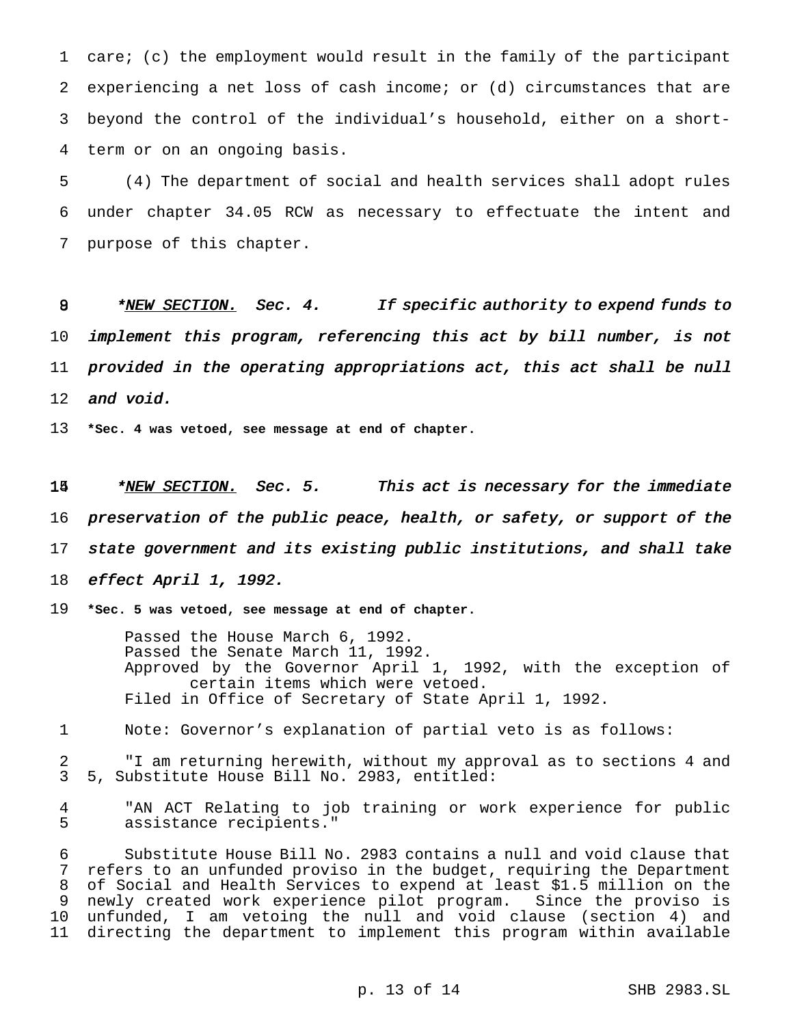care; (c) the employment would result in the family of the participant experiencing a net loss of cash income; or (d) circumstances that are beyond the control of the individual's household, either on a short-term or on an ongoing basis.

 (4) The department of social and health services shall adopt rules under chapter 34.05 RCW as necessary to effectuate the intent and purpose of this chapter.

8 \* NEW SECTION. Sec. 4. If specific authority to expend funds to implement this program, referencing this act by bill number, is not provided in the operating appropriations act, this act shall be null 12 and void.

**\*Sec. 4 was vetoed, see message at end of chapter.**

14 \*NEW SECTION. Sec. 5. This act is necessary for the immediate preservation of the public peace, health, or safety, or support of the state government and its existing public institutions, and shall take effect April 1, 1992.

**\*Sec. 5 was vetoed, see message at end of chapter.**

Passed the House March 6, 1992. Passed the Senate March 11, 1992. Approved by the Governor April 1, 1992, with the exception of certain items which were vetoed. Filed in Office of Secretary of State April 1, 1992.

Note: Governor's explanation of partial veto is as follows:

2 T am returning herewith, without my approval as to sections 4 and<br>3 5. Substitute House Bill No. 2983, entitled: 5, Substitute House Bill No. 2983, entitled:

 "AN ACT Relating to job training or work experience for public assistance recipients."

 Substitute House Bill No. 2983 contains a null and void clause that refers to an unfunded proviso in the budget, requiring the Department 8 of Social and Health Services to expend at least \$1.5 million on the<br>9 newly created work experience pilot program. Since the proviso is newly created work experience pilot program. Since the proviso is unfunded, I am vetoing the null and void clause (section 4) and directing the department to implement this program within available